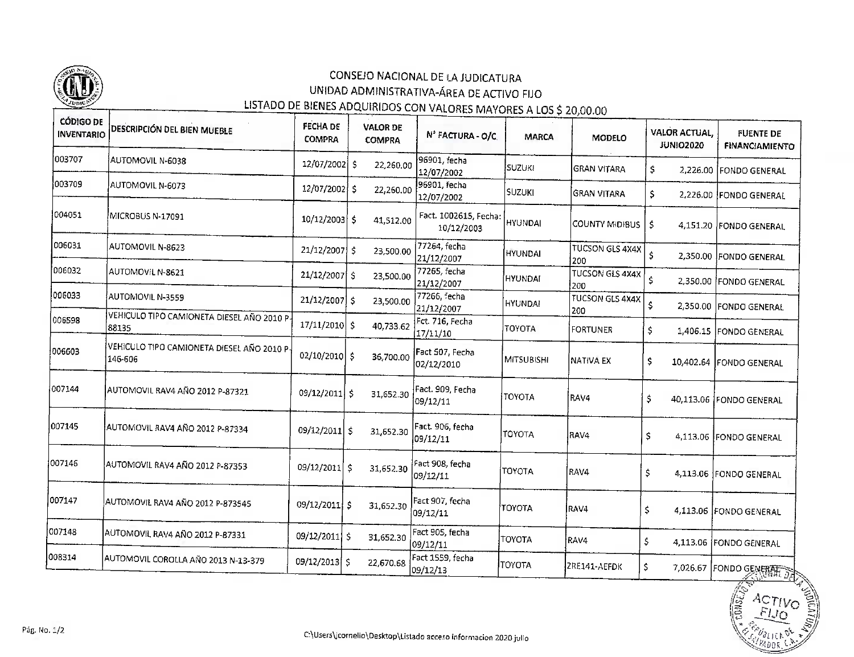

## **CONSEJO NACIONAL DE LA JUDICATURA** UNIDAD ADMiNISTRATIVA-ÁREA DE ACTIVO FIJO LISTADO DE BIENES ADQUIRIDOS CON VALORES MAYORES A LOS \$ 20,00.00

## **CÓDIGO DE FECHA DE** DESCRIPCIÓN DEL BIEN MUEBLE VALOR DE VALOR ACTUAL,**INVENTARIO** Nº FACTURA - O/C. FUENTE DECOMPRA COMPRA MARCAMODELOJU NI 02020 FiNANCfAMIENTOINVENTARIO003707 AUTOMOVIL N-6038 96901, fecha12/07/2002 \$ 22,260.00 SUZUKIGRAN VITARA $$ 2,226.00$ FONDO GENERAL<u>Automóvil na stronom poznatoval na stronom poznatoval na stronom poznatoval na stronom poznatoval na stronom poznatoval na stronom poznatoval na stronom poznatoval na stronom poznatoval na stronom poznatoval na stronom po</u> 00370712/07/2002S 22,260,00 $\frac{1}{6}$ 001 fecha 003709 AUTOMOVIL N-6073  $12/07/2002$  \$ SUZUKIGRAN VITARAAUTOMÓVIL N-607312/07/2002 003709S 22,260.00S 2,226.00 FONDO GENERAL 12/07/200212/07/2002004051 Fact. 1002615, Fecha: MICROBUS N-17091  $10/12/2003$  \$ 41,512.00 HYUNDAI $\mathbf{F} = \mathbf{F} \mathbf{F} \mathbf{F} \mathbf{F} \mathbf{F} \mathbf{F} \mathbf{F} \mathbf{F} \mathbf{F} \mathbf{F} \mathbf{F} \mathbf{F} \mathbf{F} \mathbf{F} \mathbf{F} \mathbf{F} \mathbf{F} \mathbf{F} \mathbf{F} \mathbf{F} \mathbf{F} \mathbf{F} \mathbf{F} \mathbf{F} \mathbf{F} \mathbf{F} \mathbf{F} \mathbf{F} \mathbf{F} \mathbf{F} \mathbf{F} \mathbf{F} \mathbf{F} \mathbf{F} \mathbf{F} \mathbf$ COUNTY MIDIBUS | \$ 10/12/2003S 41,512.00S 4,151.20FONDO GENERAL1<sup>-1</sup>-1-1 006031 AUTOMOVIL N-8623 77264, fecha<br>21/12/2007 TUCSON GLS 4X4X $21/12/2007$  S 23,500.00 HYUNDAI<u>Automóvics a seu a seu a seu a seu a se</u> 00603121/12/2007\$ 23,500.00\$ 2,350.00FONDO GENERAL200<u>22007.</u><br>2265 fecha 006032 AUTOMOVIL N-8621  $21/12/2007$  \$ 23,500.00 UCSON GLS 4X4X | HYUNDAI<u>Automóvil na stronom poznat</u> 21/12/2007 0060322,350.00 FONDO GENERAL 21/12/2007S 23,500,000,000 200<u>...........</u><br>7266 fecha 006033  $21/12/2007$  S 23,500.00 HYUNDAIUCSUN GLS 4X4X | 21/12/2007 **AUTOMOVIC NASAR**<br>ENICULO TIDO CANAL 00603321/12/2007\$ 23,500.002002,350.00 FONDO GENERAL 21/12/2007 006598  $17/11/2010$  \$ 40.733.62 VEHÍCULO TIPO CAMIONETA DIESEL AÑO 2010 PTOYOTAFORTUNER $$ 1,406.15$ FONDO GENERAL $17/11/10$ 00659817/11/2010S 40,733.62.<br>ERIOLI 17/11/10006603 Fact 507, Fecha  $02/10/2010$  \$ 36,700.00 146-606 MíTSUBISHÍ $\frac{1}{2}$ NATIVA EX02/10/2010\$ 36,700.0010,402.64 |FONDO GENERAL 146-60602/12/2010007144 AUTOMOVIL RAV4 AÑO 2012 P-87321 Fact. 909, Fecha<br>09/12/11 09/12/2011 \$ 31,652.30 TOYOTARAV4Ŝ. 09/12/2011S 31,652.3040,113.06 |FONDO GENERAL 09/12/11007145 AUTOMOVIL RAV4 AÑO 2012 P-87334 Fact. 905, fecha09/12/2011 \$ TOYOTARAV4 $\overline{\mathbf{s}}$ 09/12/2011\$ 31,652.304,113.06 FONDO GENERAL 09/12/11007146 AUTOMOVIL RAV4 ANO 2012 P-87353 Fact 908, fecha<br>09/12/11  $09/12/2011$  \$ TOYOTARAV4 $\mathsf{S}$ 09/12/2012 12:00 **31,652.300** 4,113.06 |FONDO GENERAL 09/12/11007147 Fact 907, fecha<br>09/12/11 AUTOMOVIL RAV4 AÑO 2012 P-873545 09/12/2011 \$ 31,652.30 TOYOTARAV4 $\boldsymbol{\mathsf{S}}$ 09/12/2011S 31,652-304,113.06 FONDO GENERAL 09/12/11007148 Fact 905, fecha AUTOMOVIL RAV4 AÑO 2012 P-87331 09/12/2011 \$ 31.652.30 TOYOTARAV4 $\mathsf{S}$  $09/12/11$ <del>-----------</del> AUTOMÓVIL RAVA4 AÑO 2012 PORTUGALE EN 1983 09/12/20114,113.06 FONDO GENERAL  $\sim$  31,652.300  $\sim$  31,652.300  $\sim$  $F<sub>2</sub>$ ract 1559  $f$ 008314 AUTOMOVIL COROLLA AÑO 2013 N-13-379 09/12/2013 \$ 22.670.68 TOYOTAZRE141-AEFDK  $\zeta$ 09/12/13 AUTOMÓVIL COROLLA AÑO 2013 N-13-379<del>. . . . . . . .</del> 09/12/2013S 22,670.6870.68 **S 7,026.67** FONDO GENERAL SAS  $-$